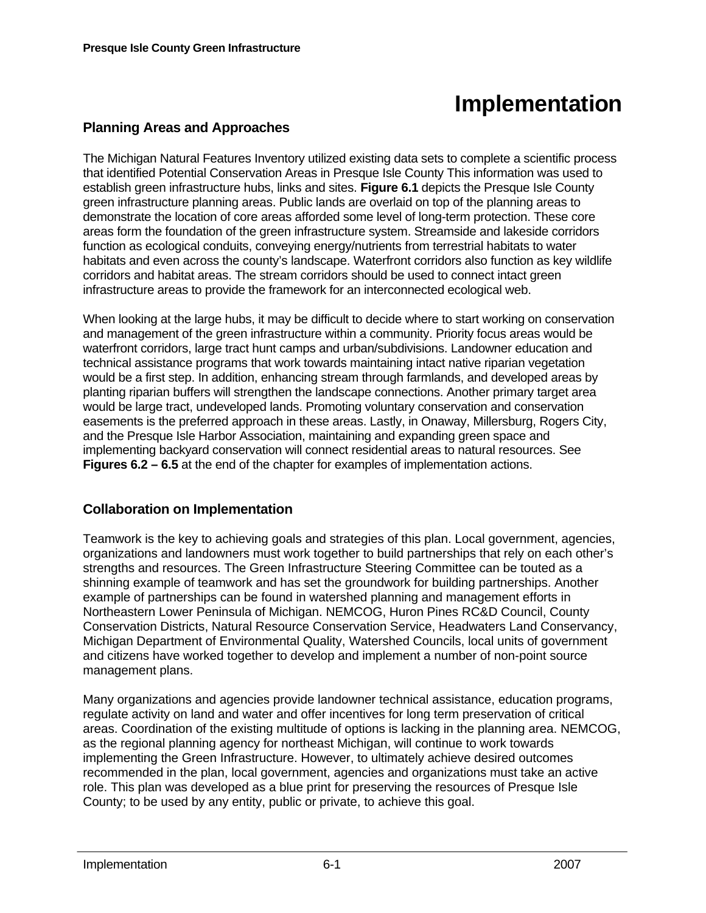# **Implementation**

# **Planning Areas and Approaches**

The Michigan Natural Features Inventory utilized existing data sets to complete a scientific process that identified Potential Conservation Areas in Presque Isle County This information was used to establish green infrastructure hubs, links and sites. **Figure 6.1** depicts the Presque Isle County green infrastructure planning areas. Public lands are overlaid on top of the planning areas to demonstrate the location of core areas afforded some level of long-term protection. These core areas form the foundation of the green infrastructure system. Streamside and lakeside corridors function as ecological conduits, conveying energy/nutrients from terrestrial habitats to water habitats and even across the county's landscape. Waterfront corridors also function as key wildlife corridors and habitat areas. The stream corridors should be used to connect intact green infrastructure areas to provide the framework for an interconnected ecological web.

When looking at the large hubs, it may be difficult to decide where to start working on conservation and management of the green infrastructure within a community. Priority focus areas would be waterfront corridors, large tract hunt camps and urban/subdivisions. Landowner education and technical assistance programs that work towards maintaining intact native riparian vegetation would be a first step. In addition, enhancing stream through farmlands, and developed areas by planting riparian buffers will strengthen the landscape connections. Another primary target area would be large tract, undeveloped lands. Promoting voluntary conservation and conservation easements is the preferred approach in these areas. Lastly, in Onaway, Millersburg, Rogers City, and the Presque Isle Harbor Association, maintaining and expanding green space and implementing backyard conservation will connect residential areas to natural resources. See **Figures 6.2 – 6.5** at the end of the chapter for examples of implementation actions.

# **Collaboration on Implementation**

Teamwork is the key to achieving goals and strategies of this plan. Local government, agencies, organizations and landowners must work together to build partnerships that rely on each other's strengths and resources. The Green Infrastructure Steering Committee can be touted as a shinning example of teamwork and has set the groundwork for building partnerships. Another example of partnerships can be found in watershed planning and management efforts in Northeastern Lower Peninsula of Michigan. NEMCOG, Huron Pines RC&D Council, County Conservation Districts, Natural Resource Conservation Service, Headwaters Land Conservancy, Michigan Department of Environmental Quality, Watershed Councils, local units of government and citizens have worked together to develop and implement a number of non-point source management plans.

Many organizations and agencies provide landowner technical assistance, education programs, regulate activity on land and water and offer incentives for long term preservation of critical areas. Coordination of the existing multitude of options is lacking in the planning area. NEMCOG, as the regional planning agency for northeast Michigan, will continue to work towards implementing the Green Infrastructure. However, to ultimately achieve desired outcomes recommended in the plan, local government, agencies and organizations must take an active role. This plan was developed as a blue print for preserving the resources of Presque Isle County; to be used by any entity, public or private, to achieve this goal.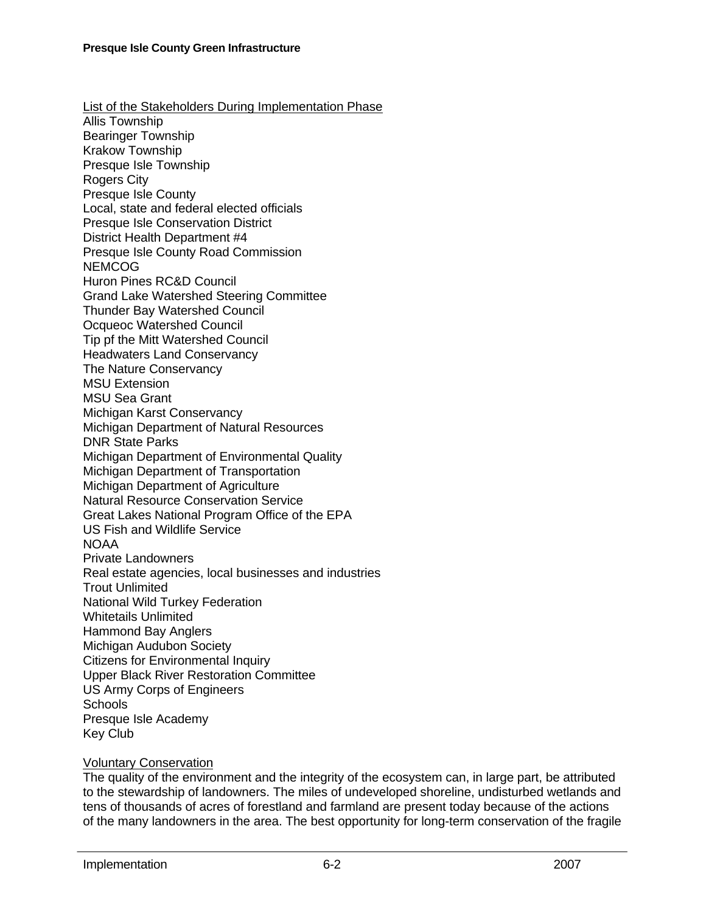List of the Stakeholders During Implementation Phase Allis Township Bearinger Township Krakow Township Presque Isle Township Rogers City Presque Isle County Local, state and federal elected officials Presque Isle Conservation District District Health Department #4 Presque Isle County Road Commission NEMCOG Huron Pines RC&D Council Grand Lake Watershed Steering Committee Thunder Bay Watershed Council Ocqueoc Watershed Council Tip pf the Mitt Watershed Council Headwaters Land Conservancy The Nature Conservancy MSU Extension MSU Sea Grant Michigan Karst Conservancy Michigan Department of Natural Resources DNR State Parks Michigan Department of Environmental Quality Michigan Department of Transportation Michigan Department of Agriculture Natural Resource Conservation Service Great Lakes National Program Office of the EPA US Fish and Wildlife Service **NOAA** Private Landowners Real estate agencies, local businesses and industries Trout Unlimited National Wild Turkey Federation Whitetails Unlimited Hammond Bay Anglers Michigan Audubon Society Citizens for Environmental Inquiry Upper Black River Restoration Committee US Army Corps of Engineers **Schools** Presque Isle Academy Key Club

#### Voluntary Conservation

The quality of the environment and the integrity of the ecosystem can, in large part, be attributed to the stewardship of landowners. The miles of undeveloped shoreline, undisturbed wetlands and tens of thousands of acres of forestland and farmland are present today because of the actions of the many landowners in the area. The best opportunity for long-term conservation of the fragile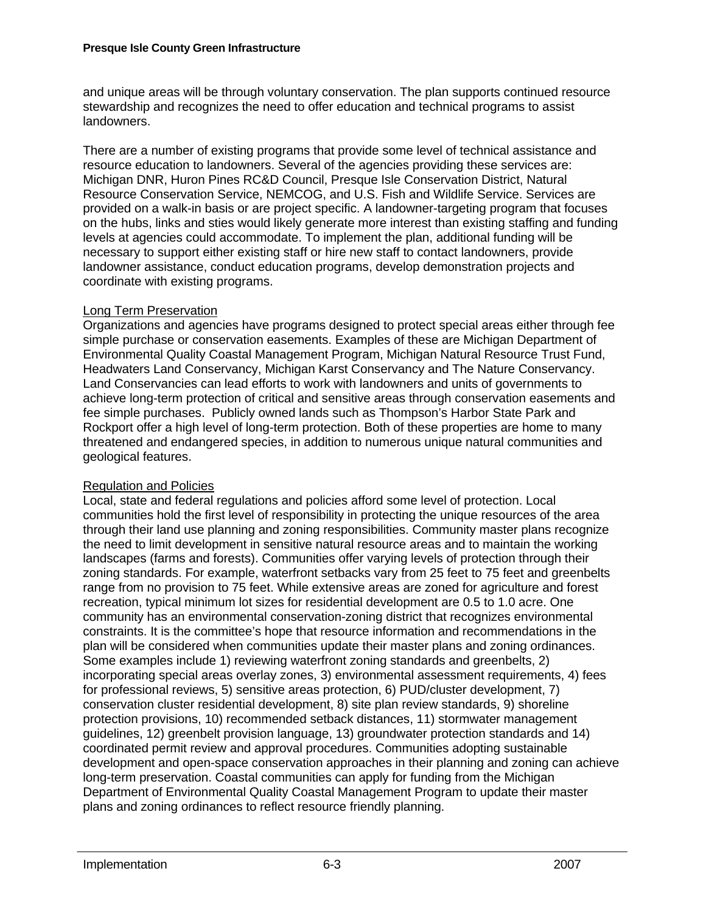and unique areas will be through voluntary conservation. The plan supports continued resource stewardship and recognizes the need to offer education and technical programs to assist landowners.

There are a number of existing programs that provide some level of technical assistance and resource education to landowners. Several of the agencies providing these services are: Michigan DNR, Huron Pines RC&D Council, Presque Isle Conservation District, Natural Resource Conservation Service, NEMCOG, and U.S. Fish and Wildlife Service. Services are provided on a walk-in basis or are project specific. A landowner-targeting program that focuses on the hubs, links and sties would likely generate more interest than existing staffing and funding levels at agencies could accommodate. To implement the plan, additional funding will be necessary to support either existing staff or hire new staff to contact landowners, provide landowner assistance, conduct education programs, develop demonstration projects and coordinate with existing programs.

### Long Term Preservation

Organizations and agencies have programs designed to protect special areas either through fee simple purchase or conservation easements. Examples of these are Michigan Department of Environmental Quality Coastal Management Program, Michigan Natural Resource Trust Fund, Headwaters Land Conservancy, Michigan Karst Conservancy and The Nature Conservancy. Land Conservancies can lead efforts to work with landowners and units of governments to achieve long-term protection of critical and sensitive areas through conservation easements and fee simple purchases. Publicly owned lands such as Thompson's Harbor State Park and Rockport offer a high level of long-term protection. Both of these properties are home to many threatened and endangered species, in addition to numerous unique natural communities and geological features.

## Regulation and Policies

Local, state and federal regulations and policies afford some level of protection. Local communities hold the first level of responsibility in protecting the unique resources of the area through their land use planning and zoning responsibilities. Community master plans recognize the need to limit development in sensitive natural resource areas and to maintain the working landscapes (farms and forests). Communities offer varying levels of protection through their zoning standards. For example, waterfront setbacks vary from 25 feet to 75 feet and greenbelts range from no provision to 75 feet. While extensive areas are zoned for agriculture and forest recreation, typical minimum lot sizes for residential development are 0.5 to 1.0 acre. One community has an environmental conservation-zoning district that recognizes environmental constraints. It is the committee's hope that resource information and recommendations in the plan will be considered when communities update their master plans and zoning ordinances. Some examples include 1) reviewing waterfront zoning standards and greenbelts, 2) incorporating special areas overlay zones, 3) environmental assessment requirements, 4) fees for professional reviews, 5) sensitive areas protection, 6) PUD/cluster development, 7) conservation cluster residential development, 8) site plan review standards, 9) shoreline protection provisions, 10) recommended setback distances, 11) stormwater management guidelines, 12) greenbelt provision language, 13) groundwater protection standards and 14) coordinated permit review and approval procedures. Communities adopting sustainable development and open-space conservation approaches in their planning and zoning can achieve long-term preservation. Coastal communities can apply for funding from the Michigan Department of Environmental Quality Coastal Management Program to update their master plans and zoning ordinances to reflect resource friendly planning.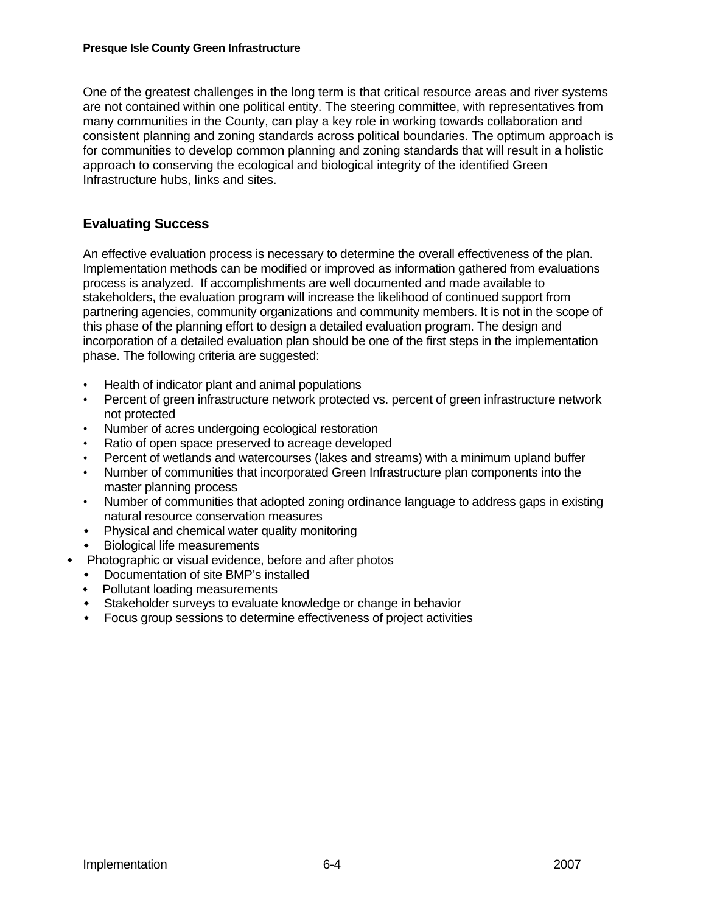One of the greatest challenges in the long term is that critical resource areas and river systems are not contained within one political entity. The steering committee, with representatives from many communities in the County, can play a key role in working towards collaboration and consistent planning and zoning standards across political boundaries. The optimum approach is for communities to develop common planning and zoning standards that will result in a holistic approach to conserving the ecological and biological integrity of the identified Green Infrastructure hubs, links and sites.

# **Evaluating Success**

An effective evaluation process is necessary to determine the overall effectiveness of the plan. Implementation methods can be modified or improved as information gathered from evaluations process is analyzed. If accomplishments are well documented and made available to stakeholders, the evaluation program will increase the likelihood of continued support from partnering agencies, community organizations and community members. It is not in the scope of this phase of the planning effort to design a detailed evaluation program. The design and incorporation of a detailed evaluation plan should be one of the first steps in the implementation phase. The following criteria are suggested:

- Health of indicator plant and animal populations
- Percent of green infrastructure network protected vs. percent of green infrastructure network not protected
- Number of acres undergoing ecological restoration
- Ratio of open space preserved to acreage developed
- Percent of wetlands and watercourses (lakes and streams) with a minimum upland buffer
- Number of communities that incorporated Green Infrastructure plan components into the master planning process
- Number of communities that adopted zoning ordinance language to address gaps in existing natural resource conservation measures
- Physical and chemical water quality monitoring
- Biological life measurements
- Photographic or visual evidence, before and after photos
	- Documentation of site BMP's installed
	- Pollutant loading measurements
	- Stakeholder surveys to evaluate knowledge or change in behavior
	- Focus group sessions to determine effectiveness of project activities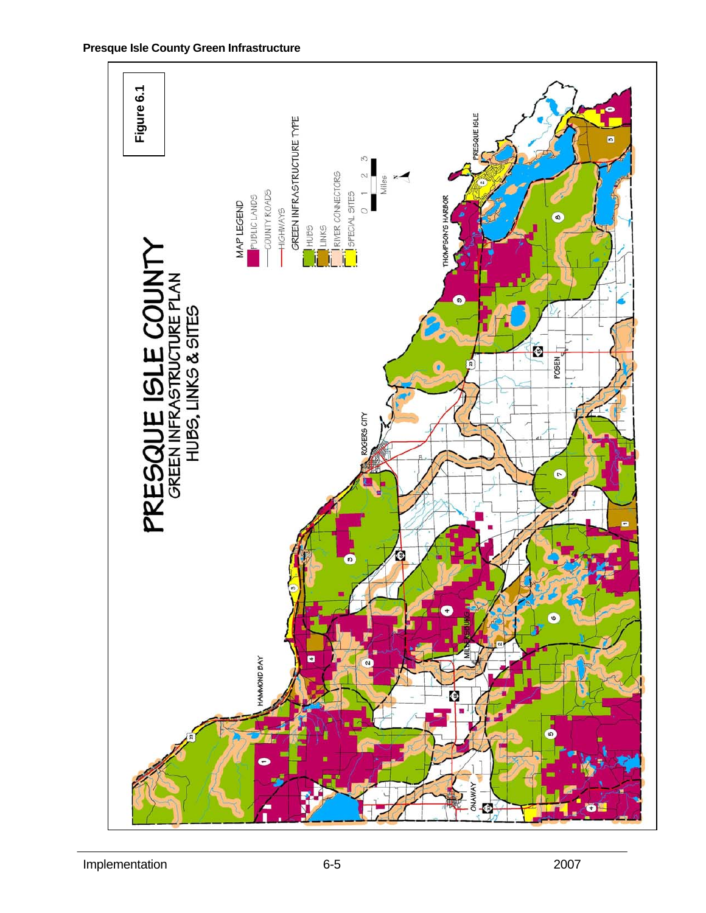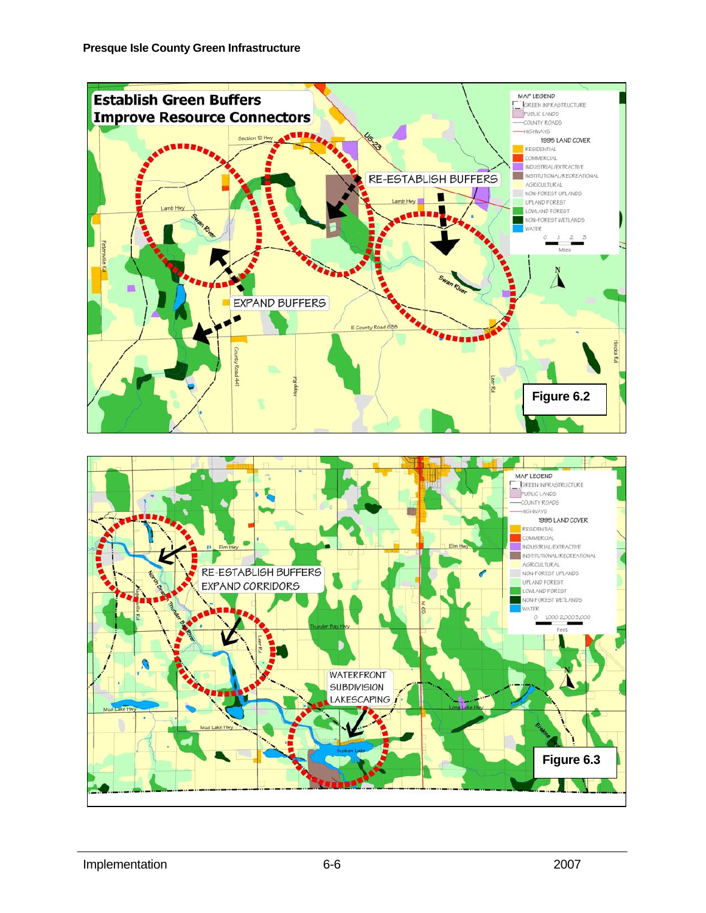